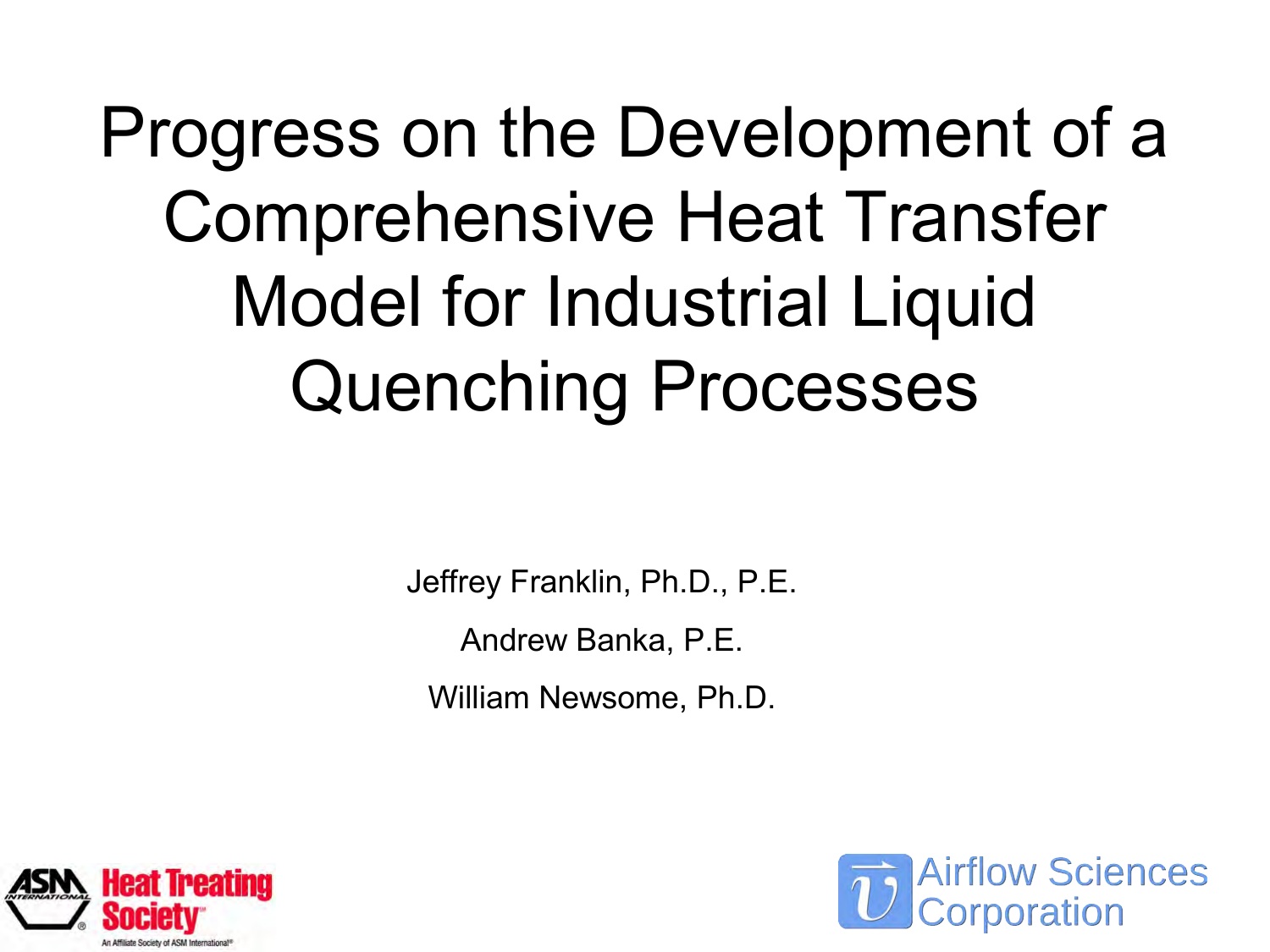Progress on the Development of a Comprehensive Heat Transfer Model for Industrial Liquid Quenching Processes

Jeffrey Franklin, Ph.D., P.E.

Andrew Banka, P.E.

William Newsome, Ph.D.



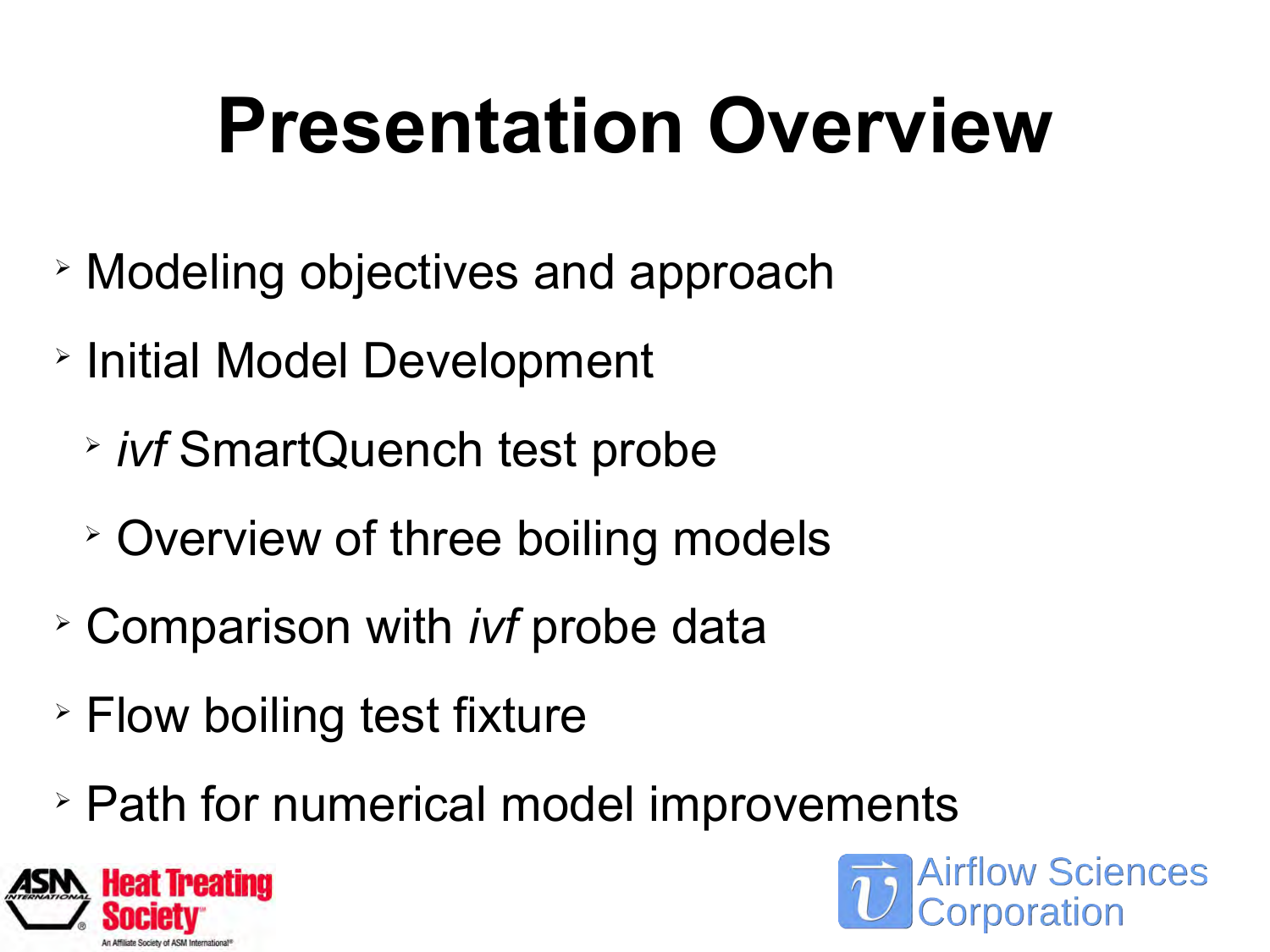# **Presentation Overview**

- ➢ Modeling objectives and approach
- ➢ Initial Model Development
	- ➢ *ivf* SmartQuench test probe
	- ➢ Overview of three boiling models
- ➢ Comparison with *ivf* probe data
- ➢ Flow boiling test fixture
- ➢ Path for numerical model improvements



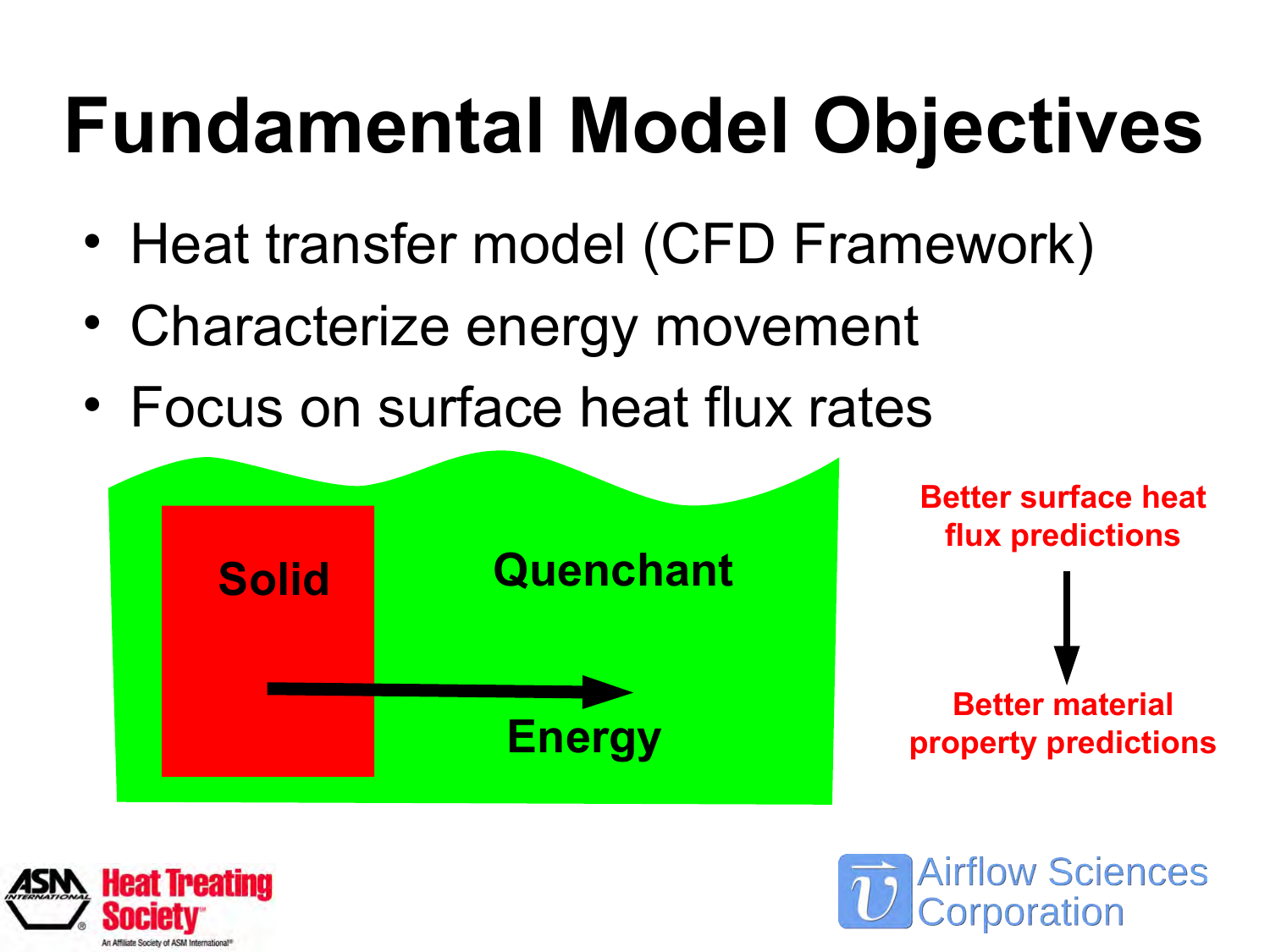# **Fundamental Model Objectives**

- Heat transfer model (CFD Framework)
- Characterize energy movement
- Focus on surface heat flux rates



**Airflow Sciences** 

orporation

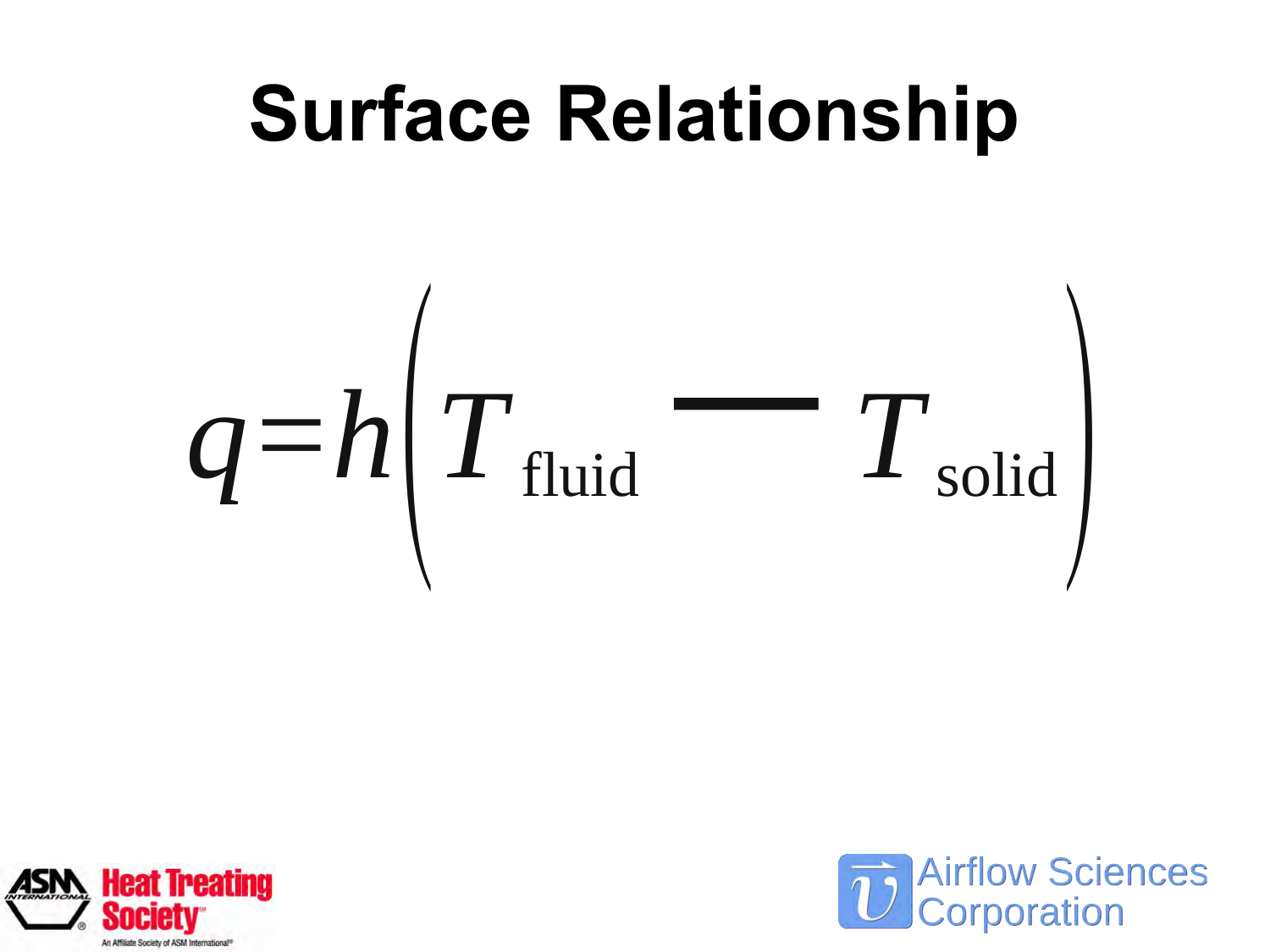# **Surface Relationship**  $q=h|\emph{T}_{\rm fluid}$ −*<sup>T</sup>*solid)



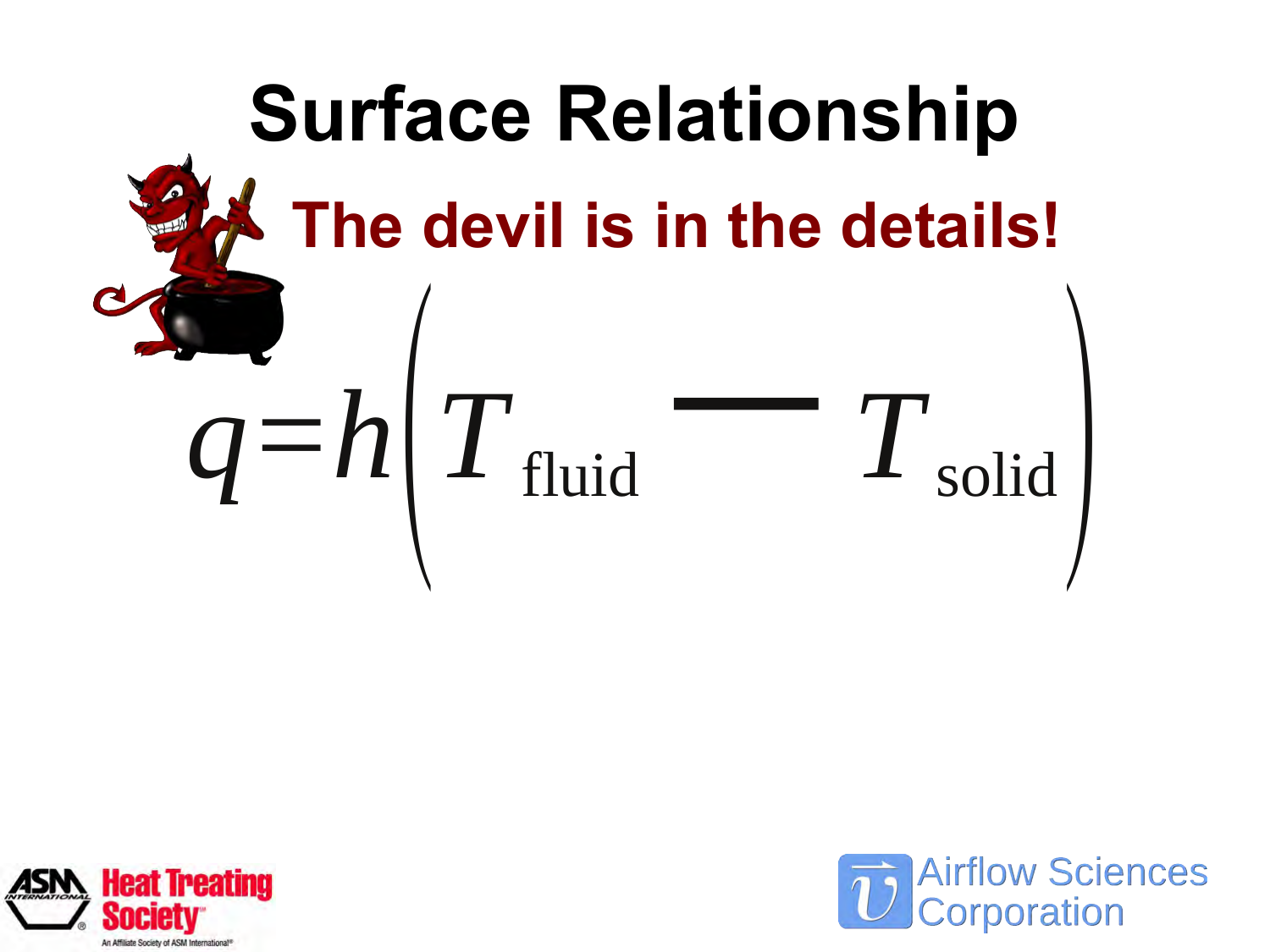



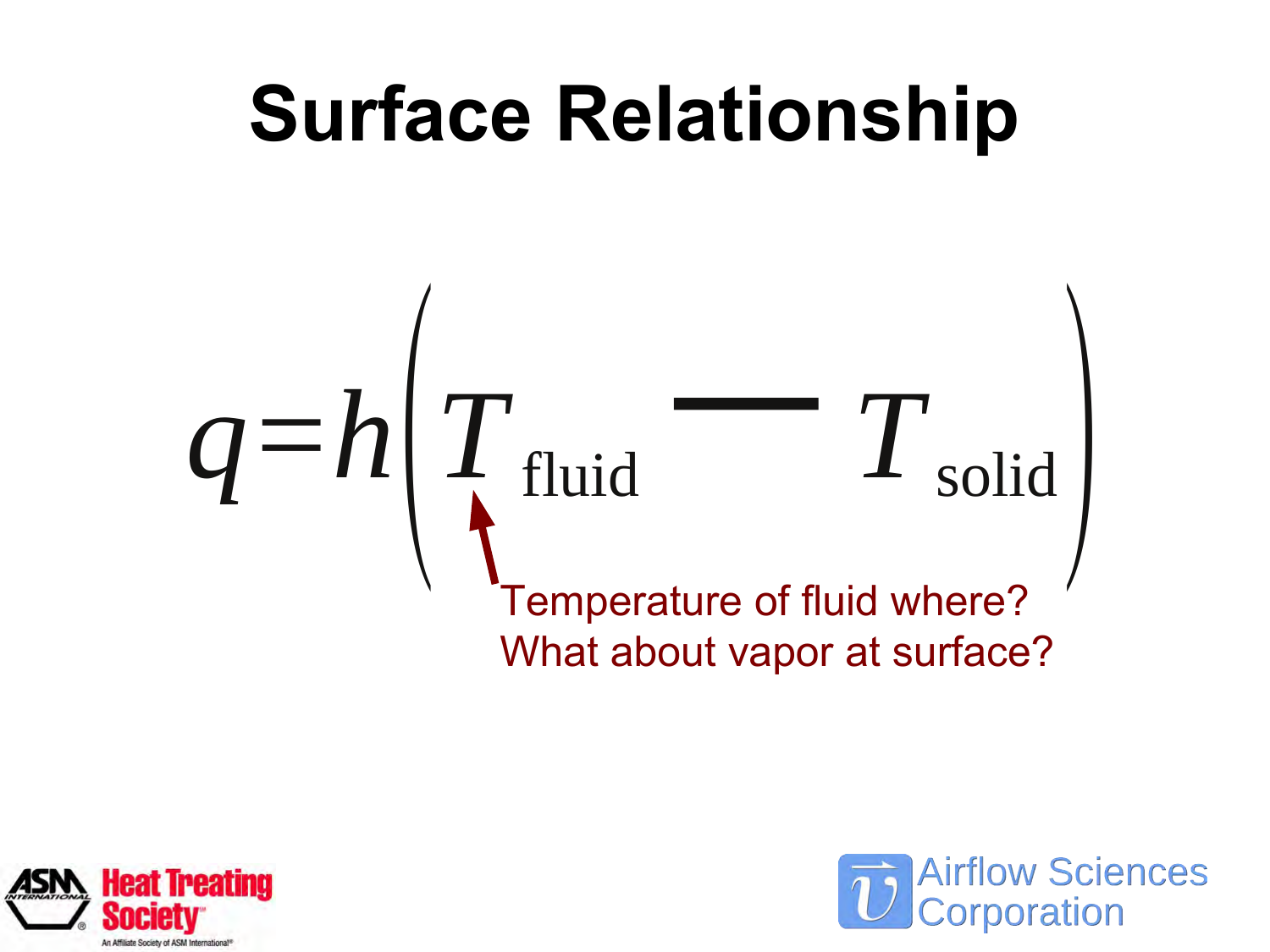



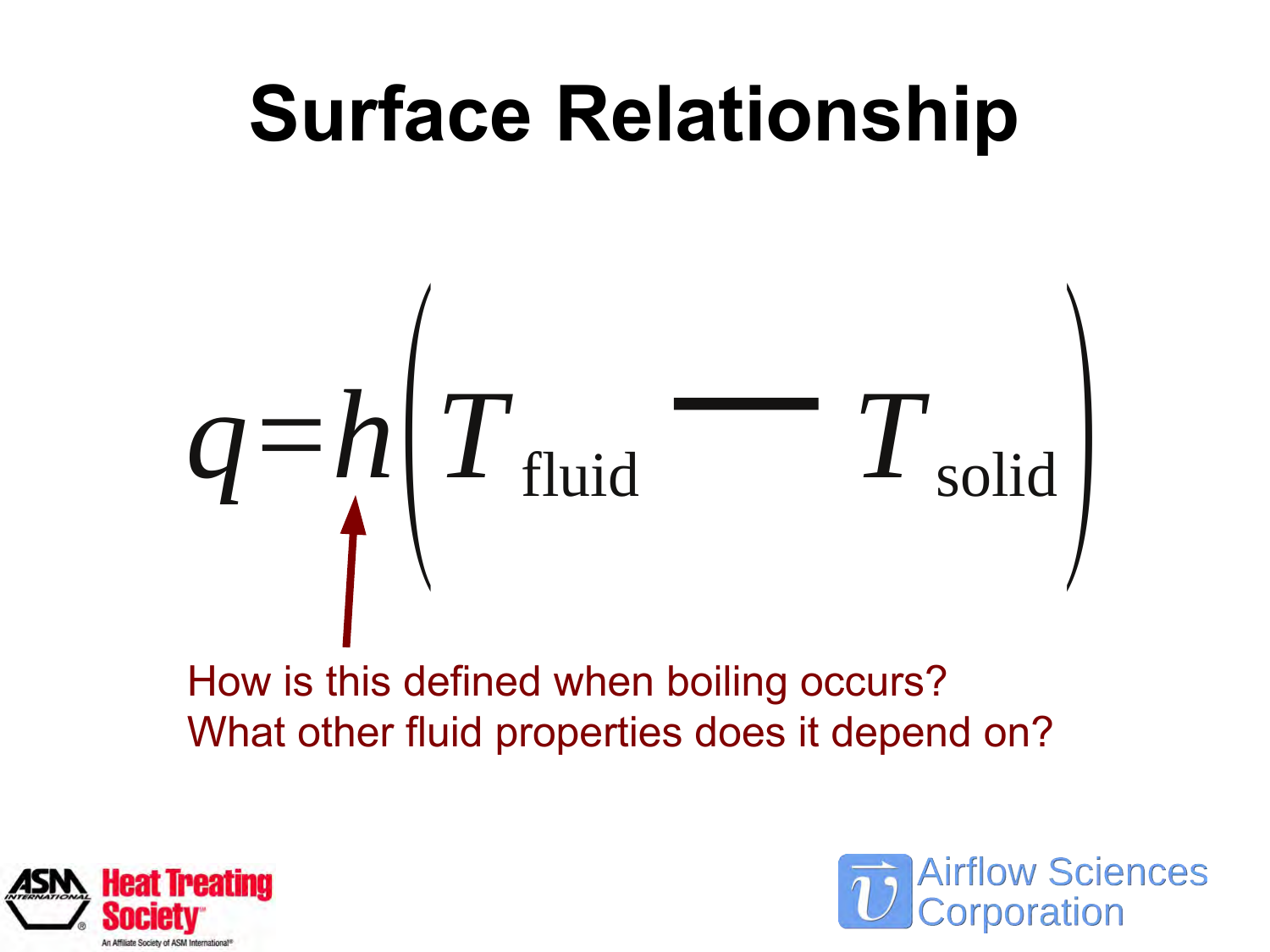



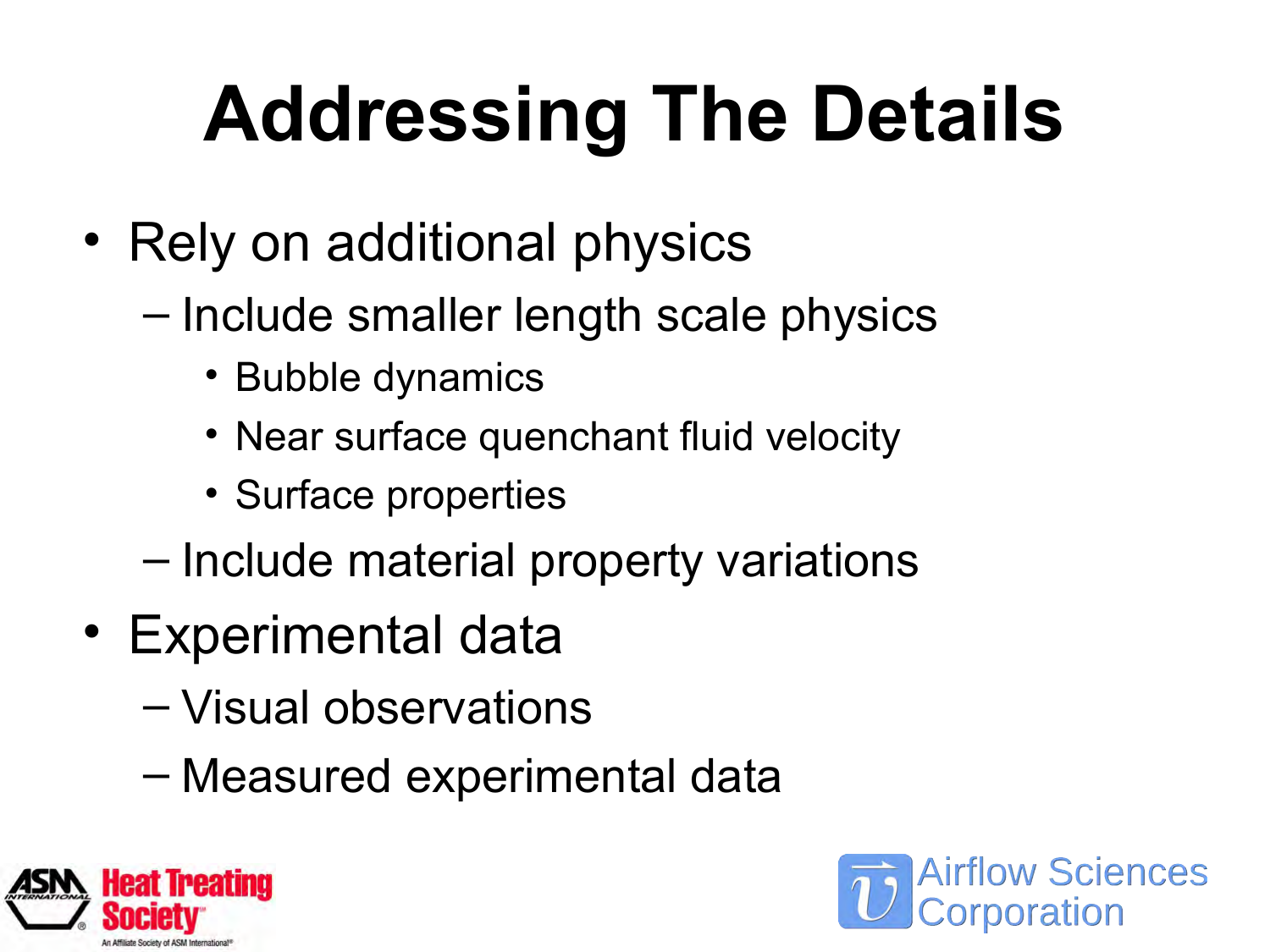# **Addressing The Details**

- Rely on additional physics
	- Include smaller length scale physics
		- Bubble dynamics
		- Near surface quenchant fluid velocity
		- Surface properties
	- Include material property variations
- Experimental data
	- Visual observations
	- Measured experimental data



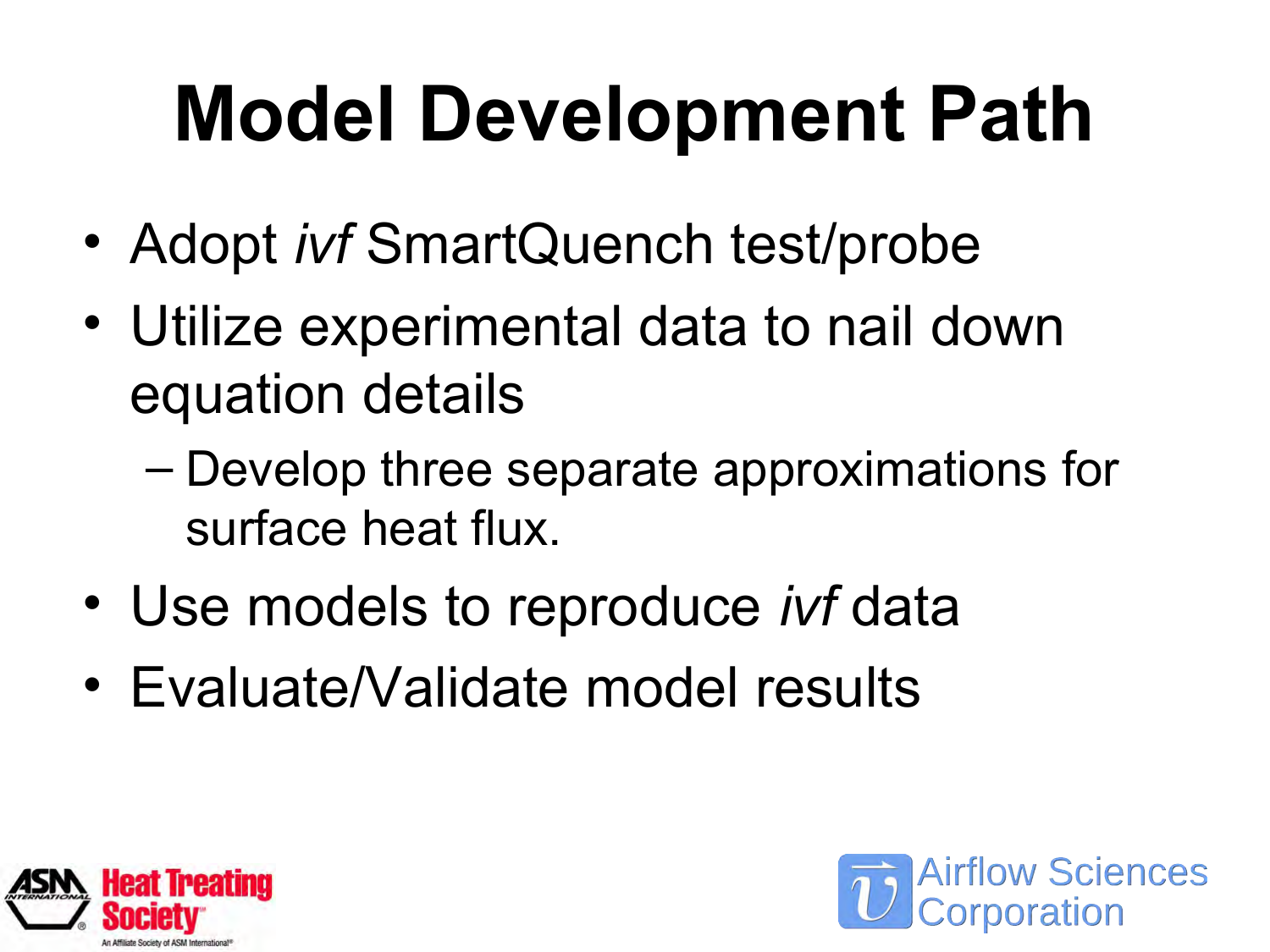# **Model Development Path**

- Adopt *ivf* SmartQuench test/probe
- Utilize experimental data to nail down equation details
	- Develop three separate approximations for surface heat flux.
- Use models to reproduce *ivf* data
- Evaluate/Validate model results



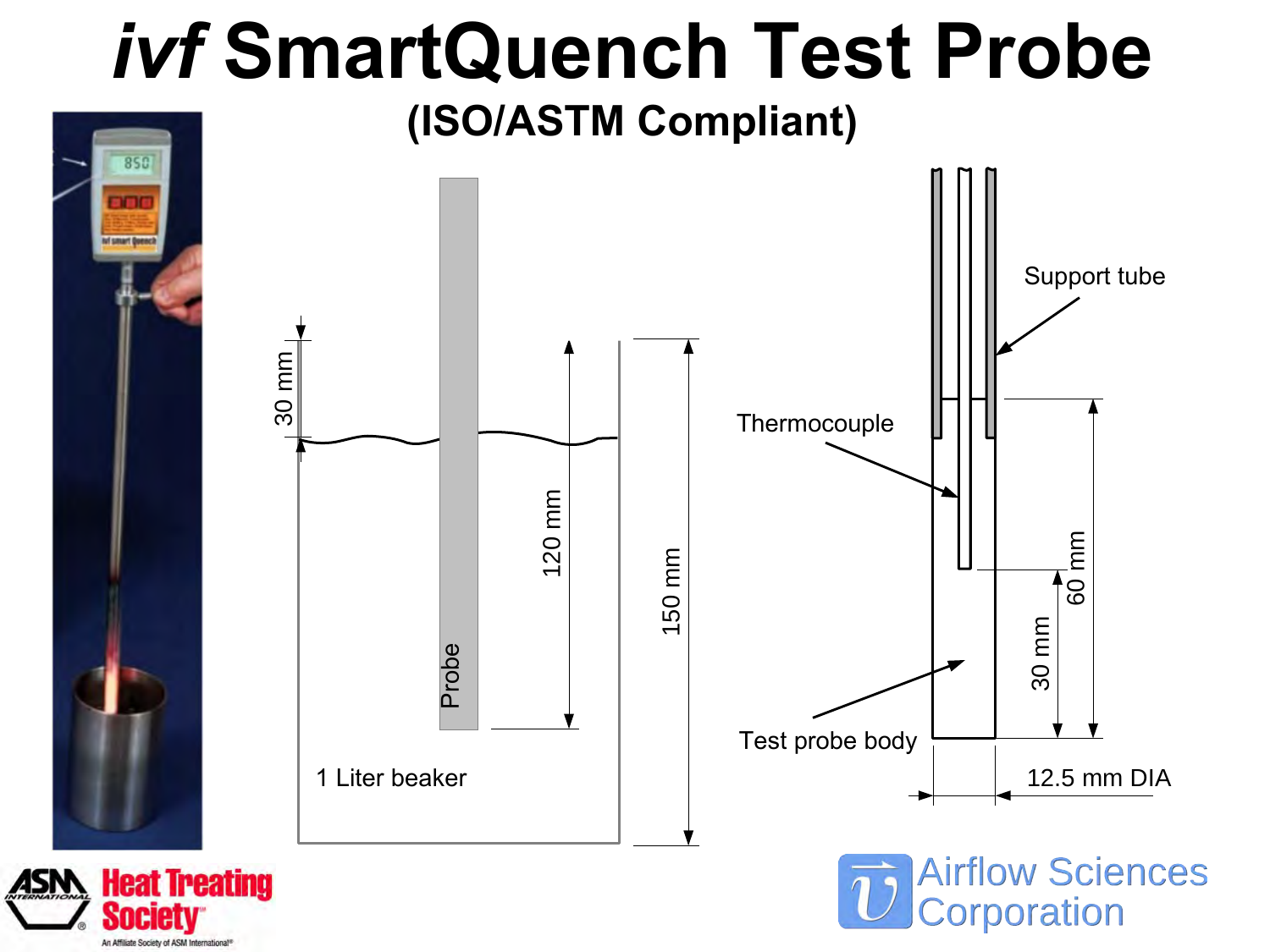#### *ivf* **SmartQuench Test Probe**

**(ISO/ASTM Compliant)**



An Affiliate Society of ASM International®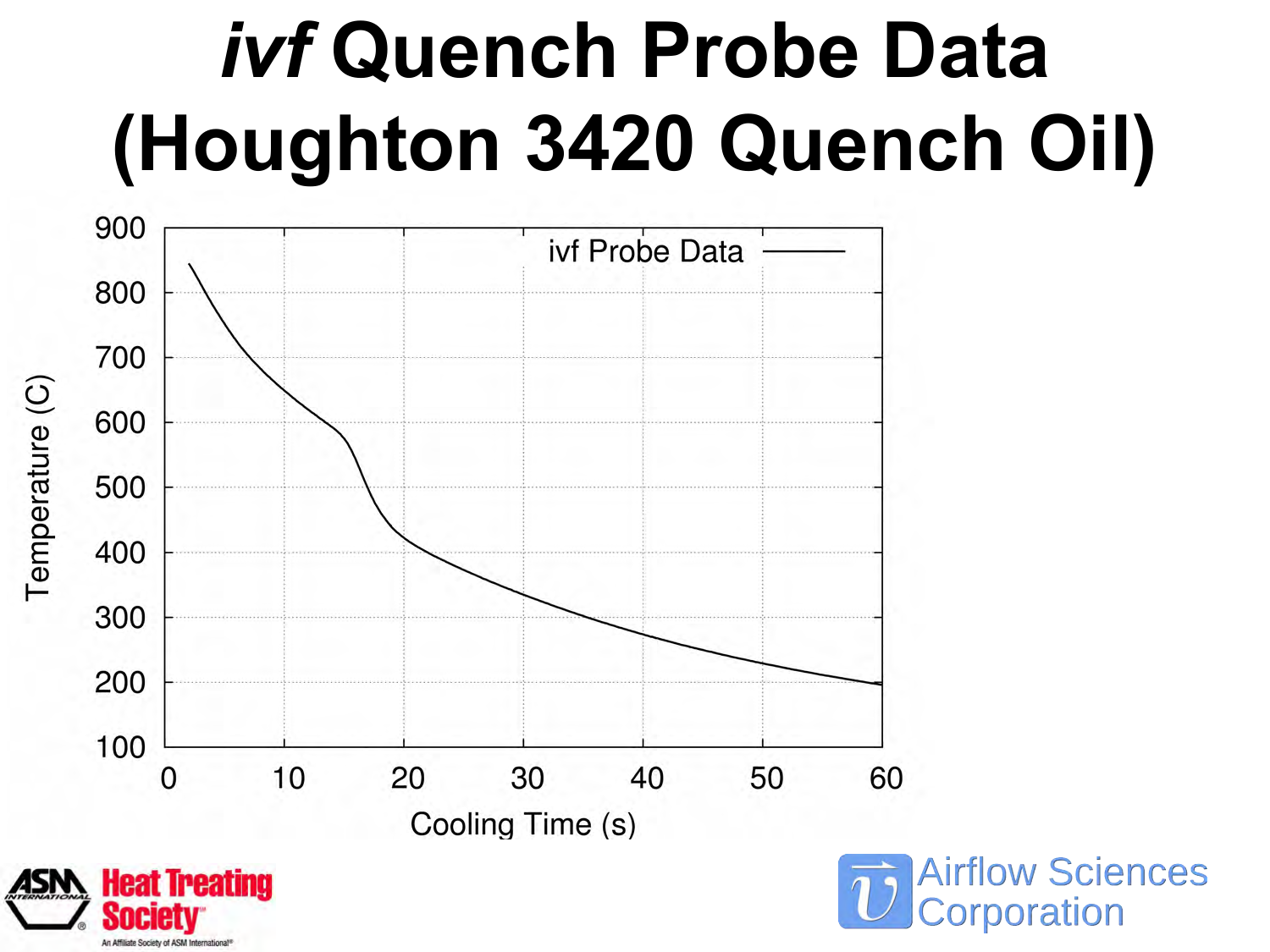# *ivf* **Quench Probe Data (Houghton 3420 Quench Oil)**



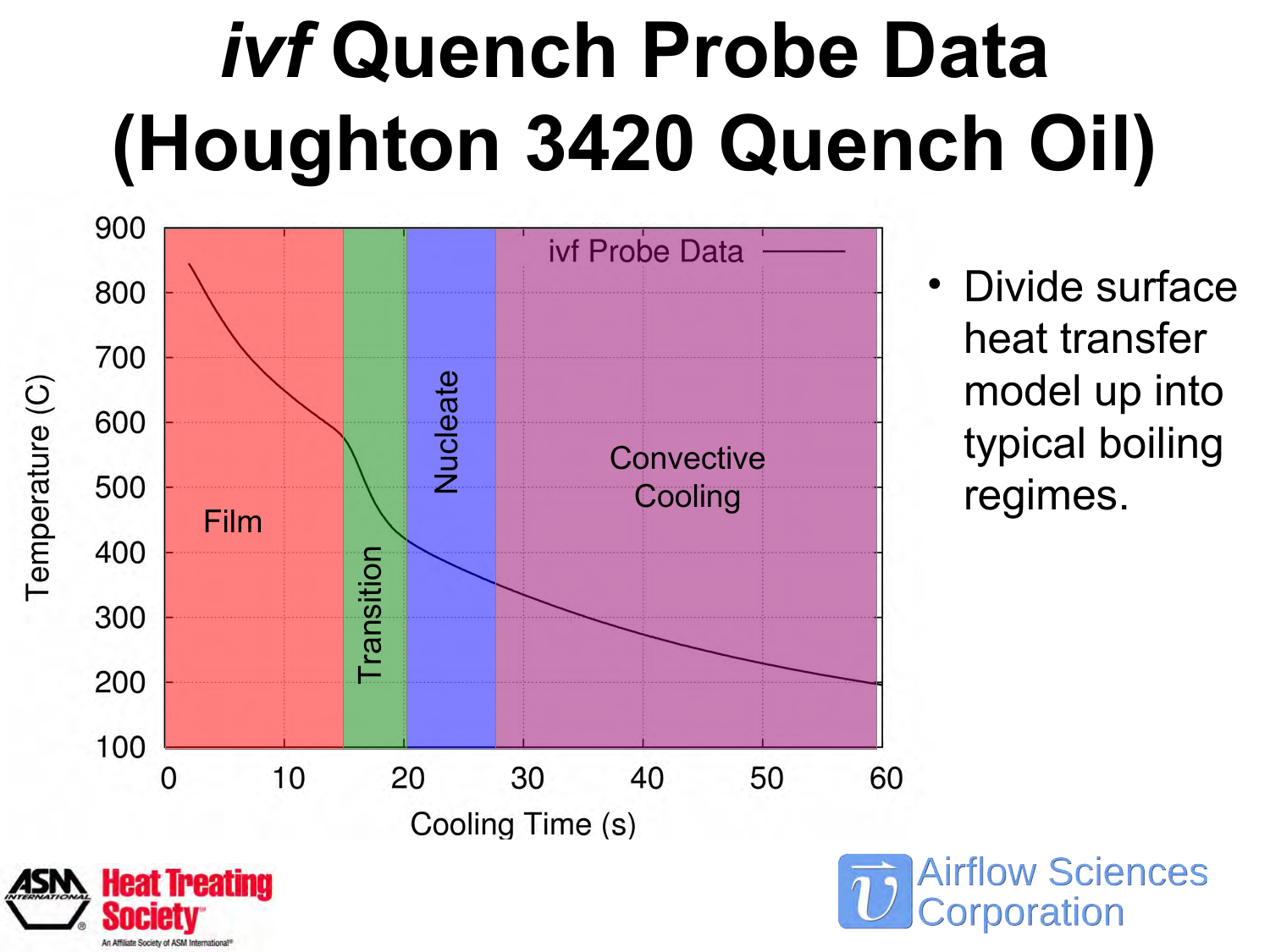# *ivf* **Quench Probe Data (Houghton 3420 Quench Oil)**



**Heat Treating** 

• Divide surface heat transfer model up into typical boiling regimes.

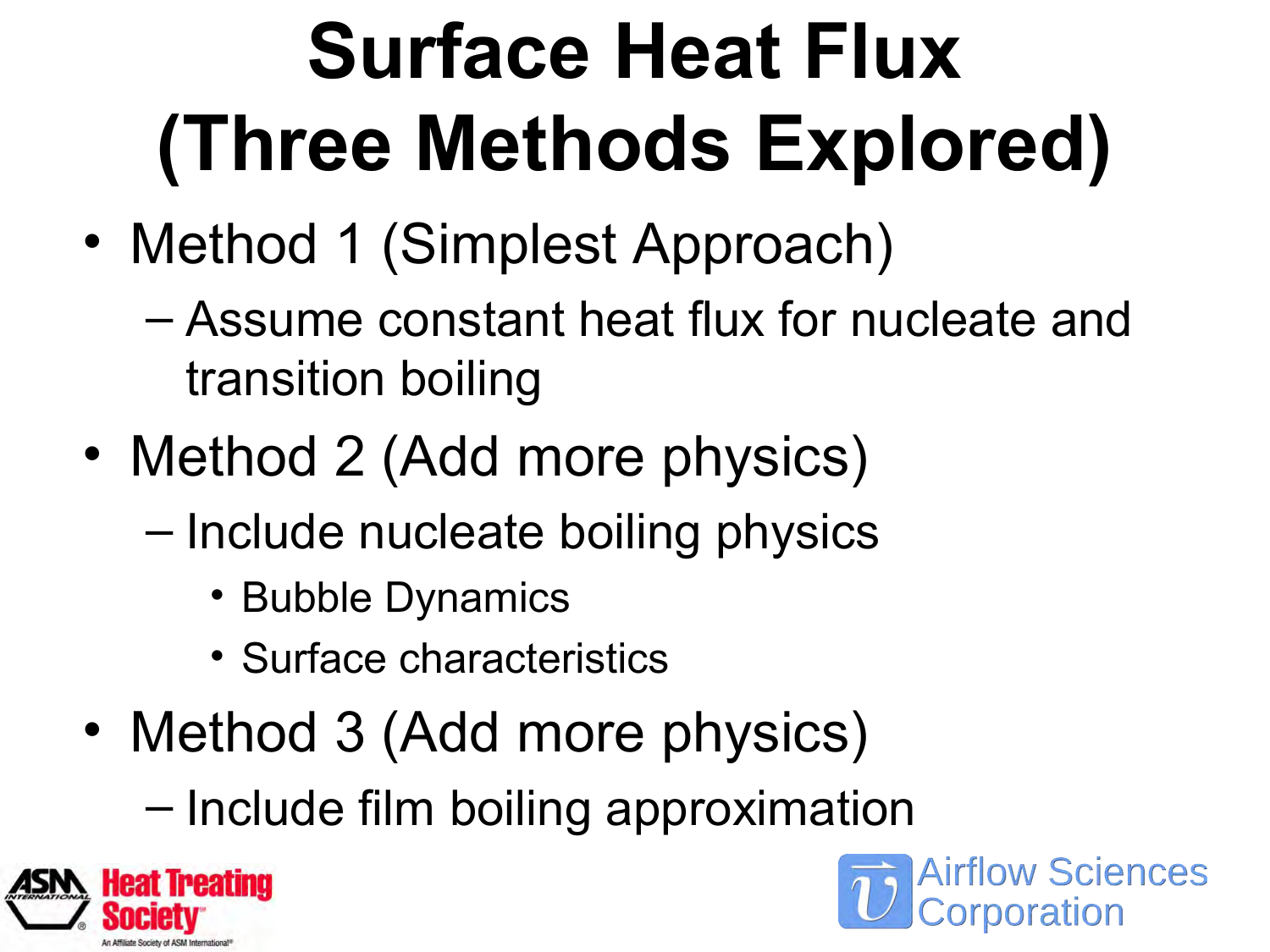# **Surface Heat Flux (Three Methods Explored)**

- Method 1 (Simplest Approach)
	- Assume constant heat flux for nucleate and transition boiling
- Method 2 (Add more physics)
	- Include nucleate boiling physics
		- Bubble Dynamics
		- Surface characteristics
- Method 3 (Add more physics)
	- Include film boiling approximation



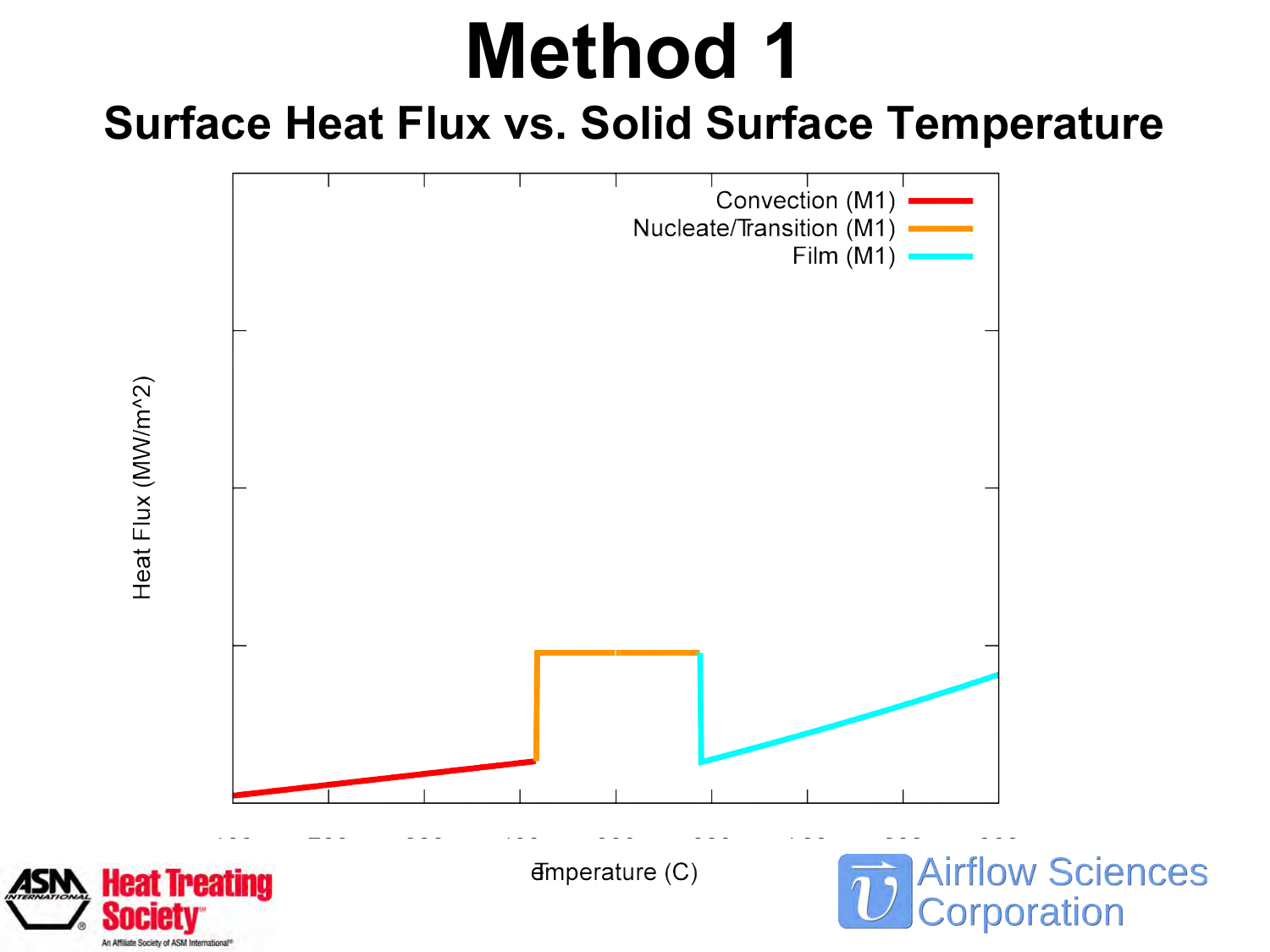## **Method 1**

#### **Surface Heat Flux vs. Solid Surface Temperature**

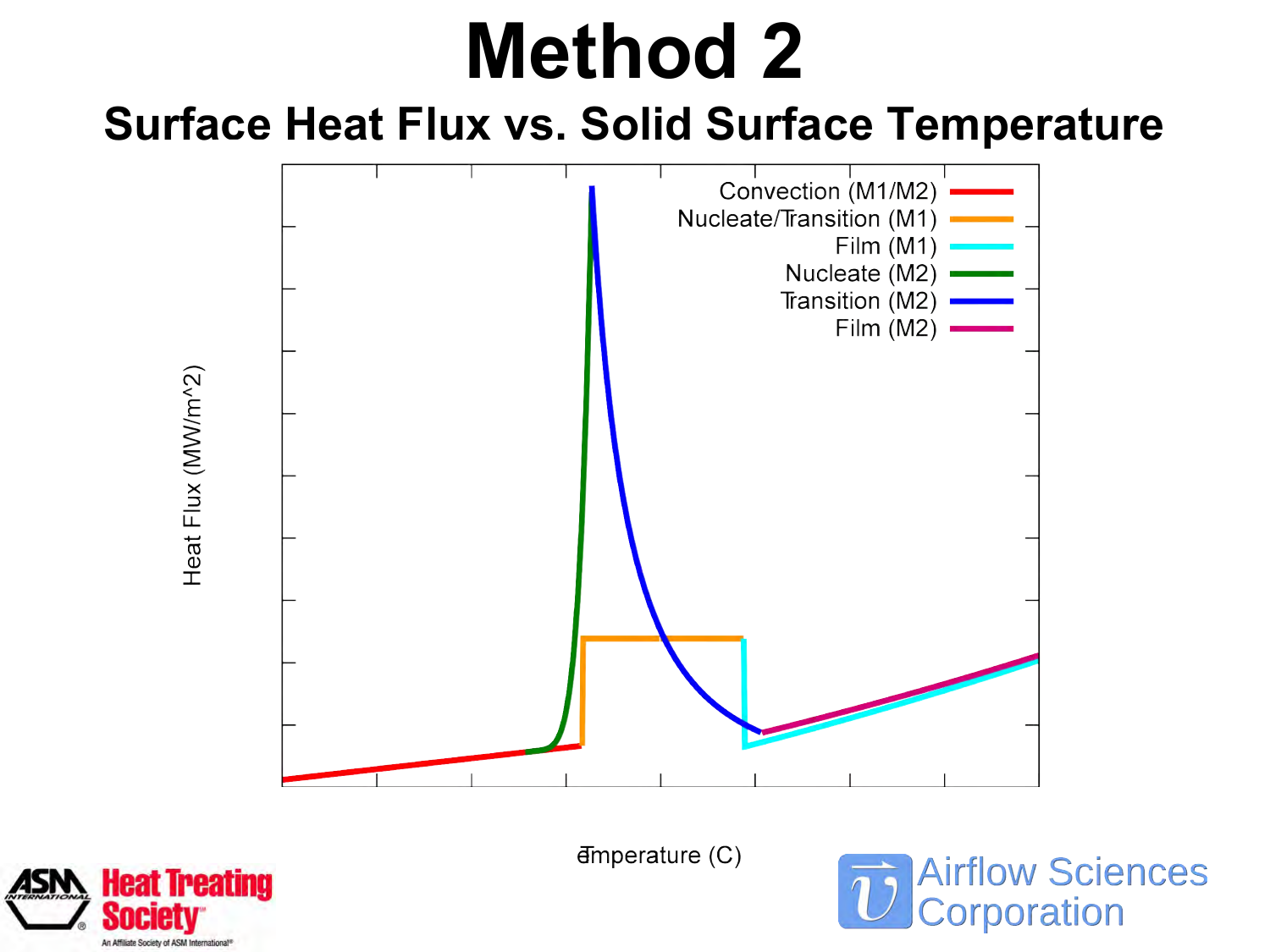## **Method 2**

#### **Surface Heat Flux vs. Solid Surface Temperature**



 $\Phi$ mperature (C)

**Airflow Sciences Corporation** 

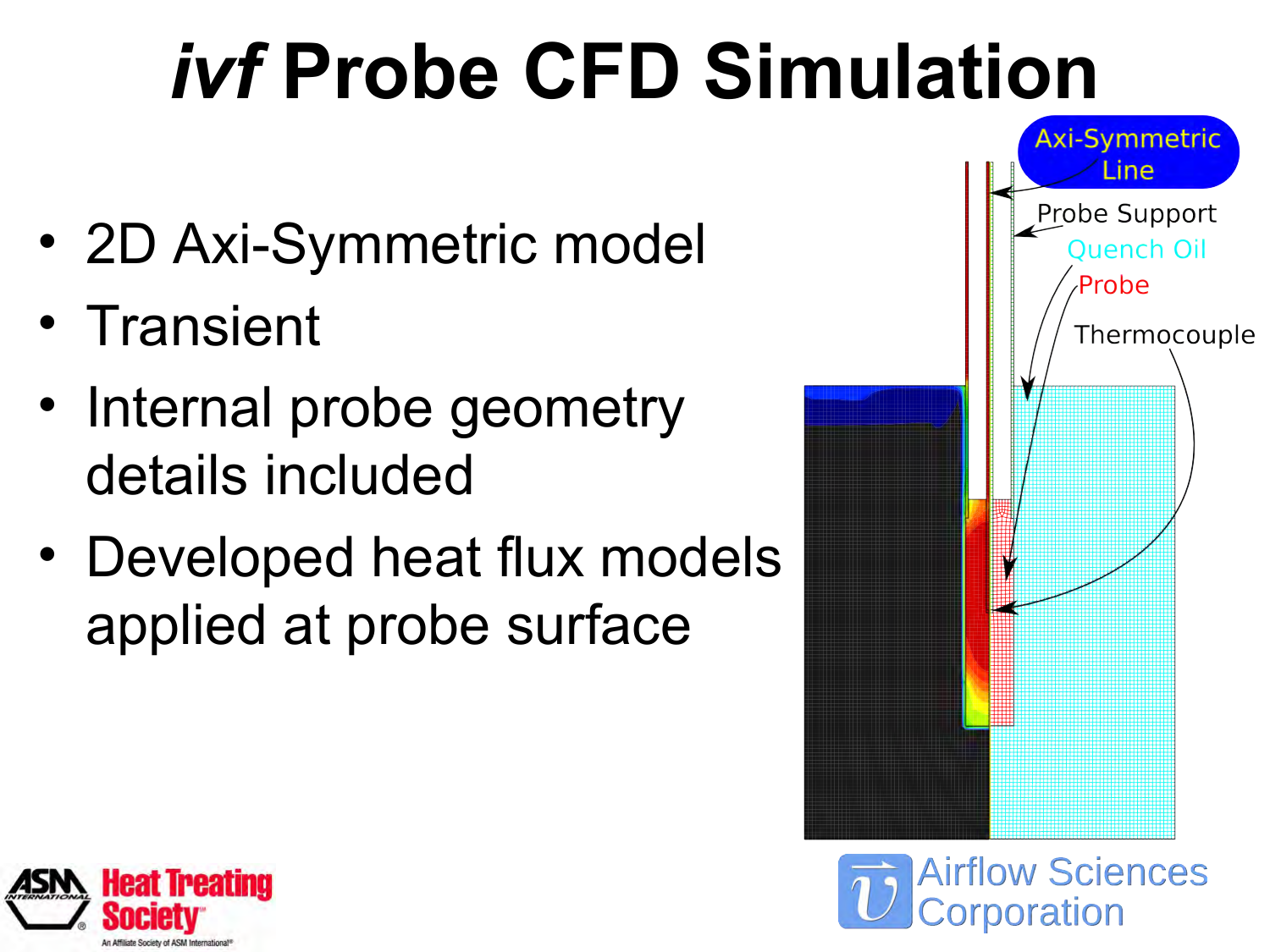# *ivf* **Probe CFD Simulation**

- 2D Axi-Symmetric model
- Transient
- Internal probe geometry details included
- Developed heat flux models applied at probe surface



**Airflow Sciences** 

poration

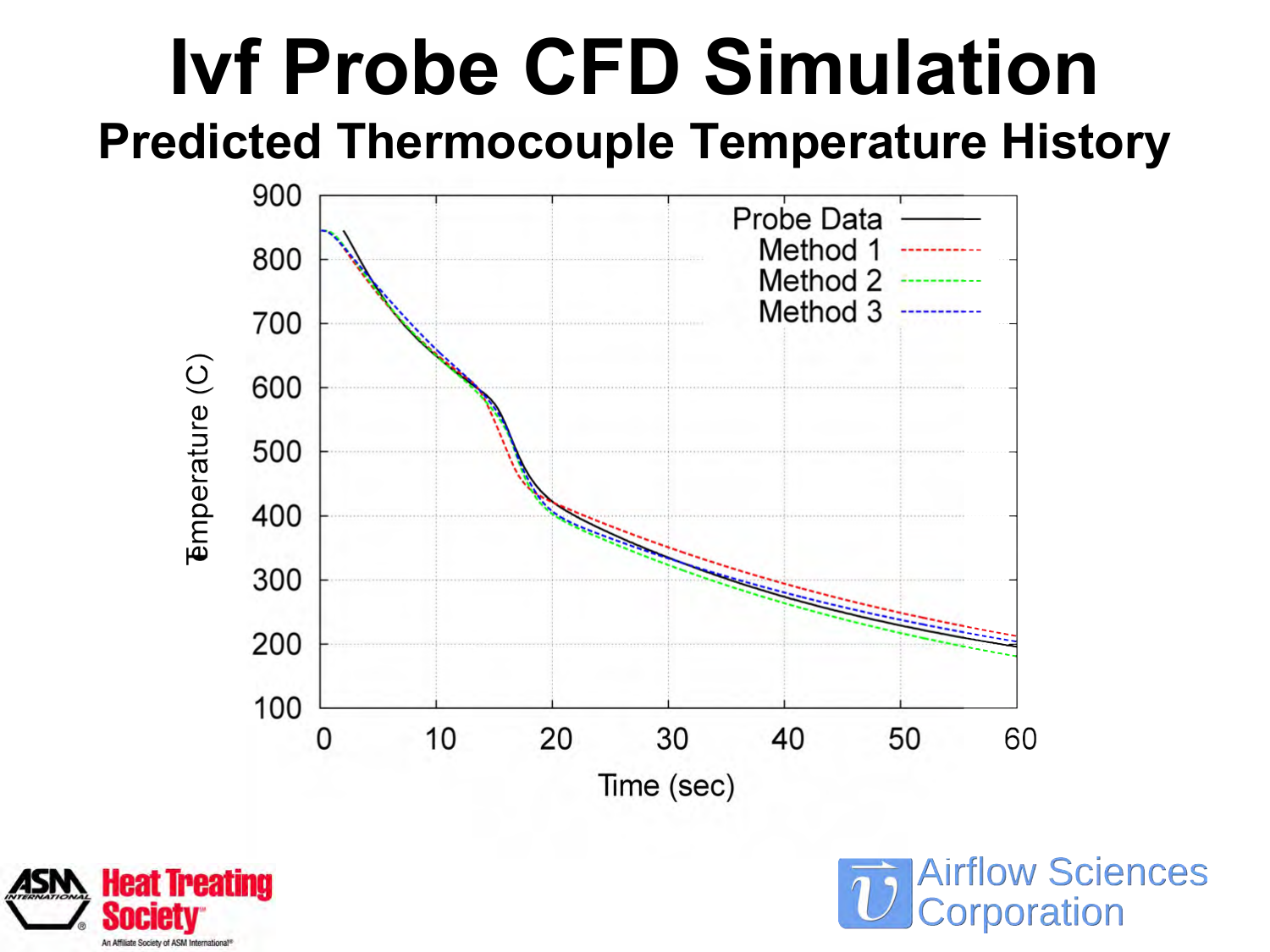#### **Ivf Probe CFD Simulation Predicted Thermocouple Temperature History**





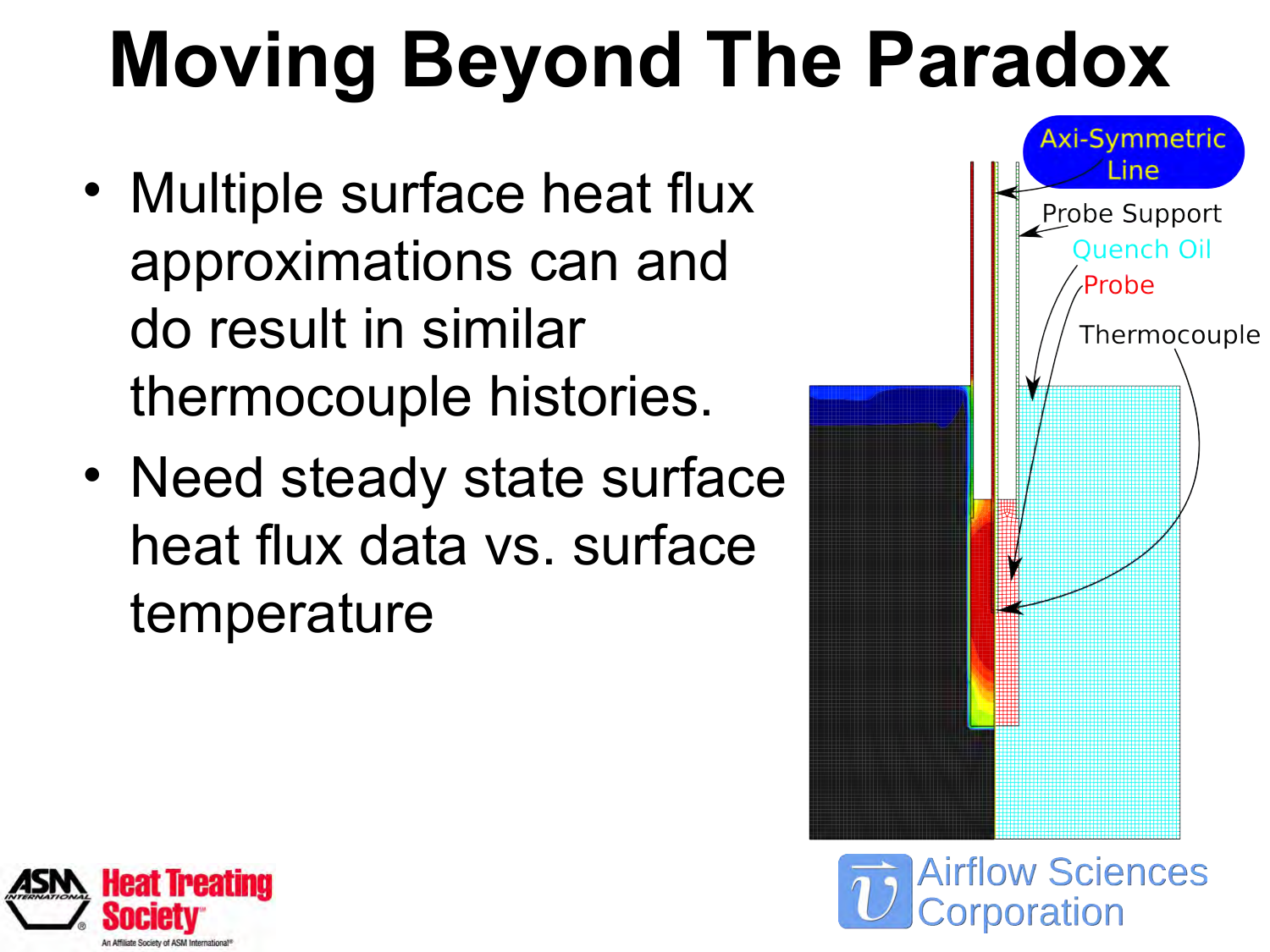# **Moving Beyond The Paradox**

- Multiple surface heat flux approximations can and do result in similar thermocouple histories.
- Need steady state surface heat flux data vs. surface temperature





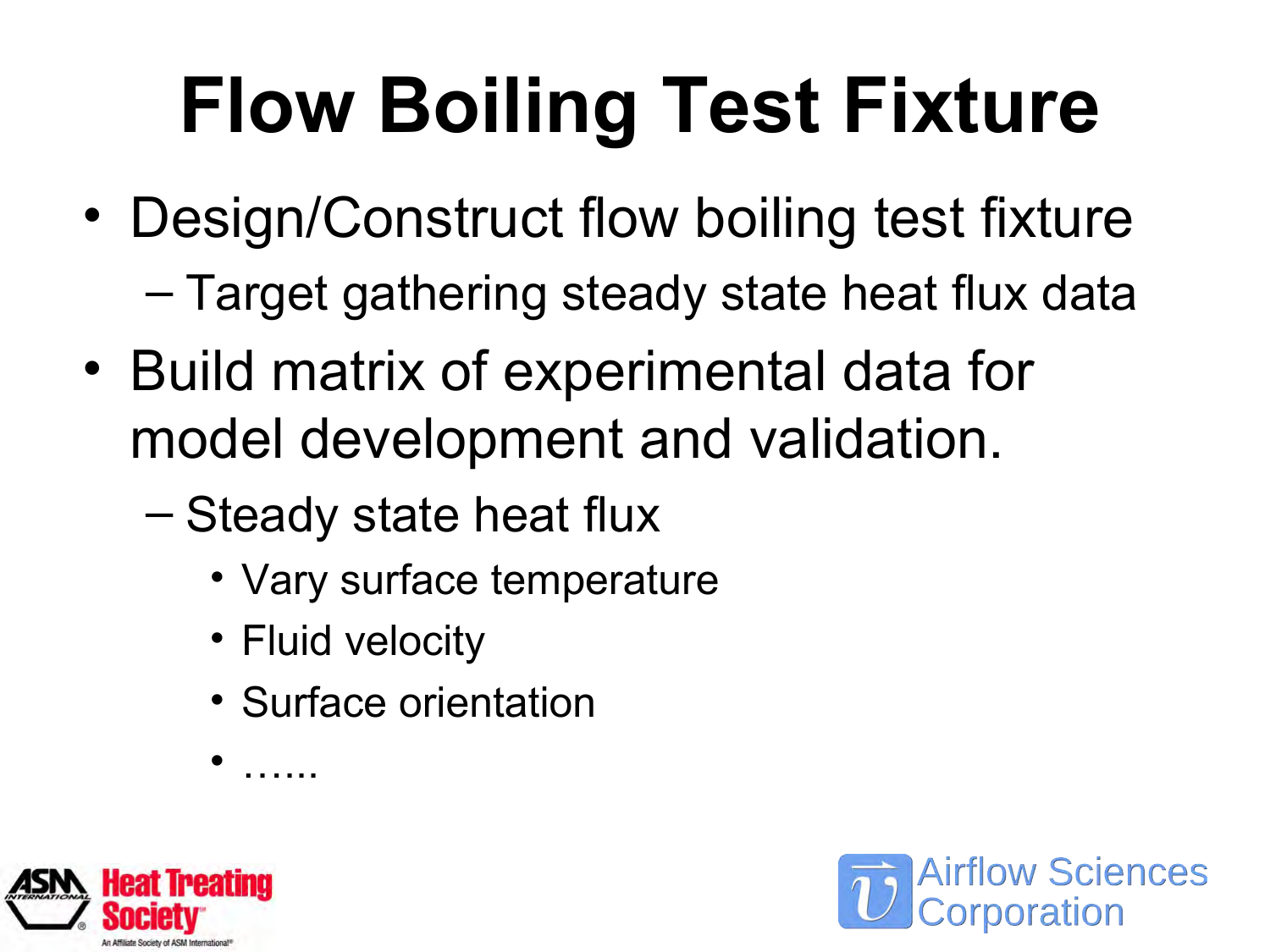# **Flow Boiling Test Fixture**

- Design/Construct flow boiling test fixture
	- Target gathering steady state heat flux data
- Build matrix of experimental data for model development and validation.
	- Steady state heat flux
		- Vary surface temperature
		- Fluid velocity

• ……

• Surface orientation



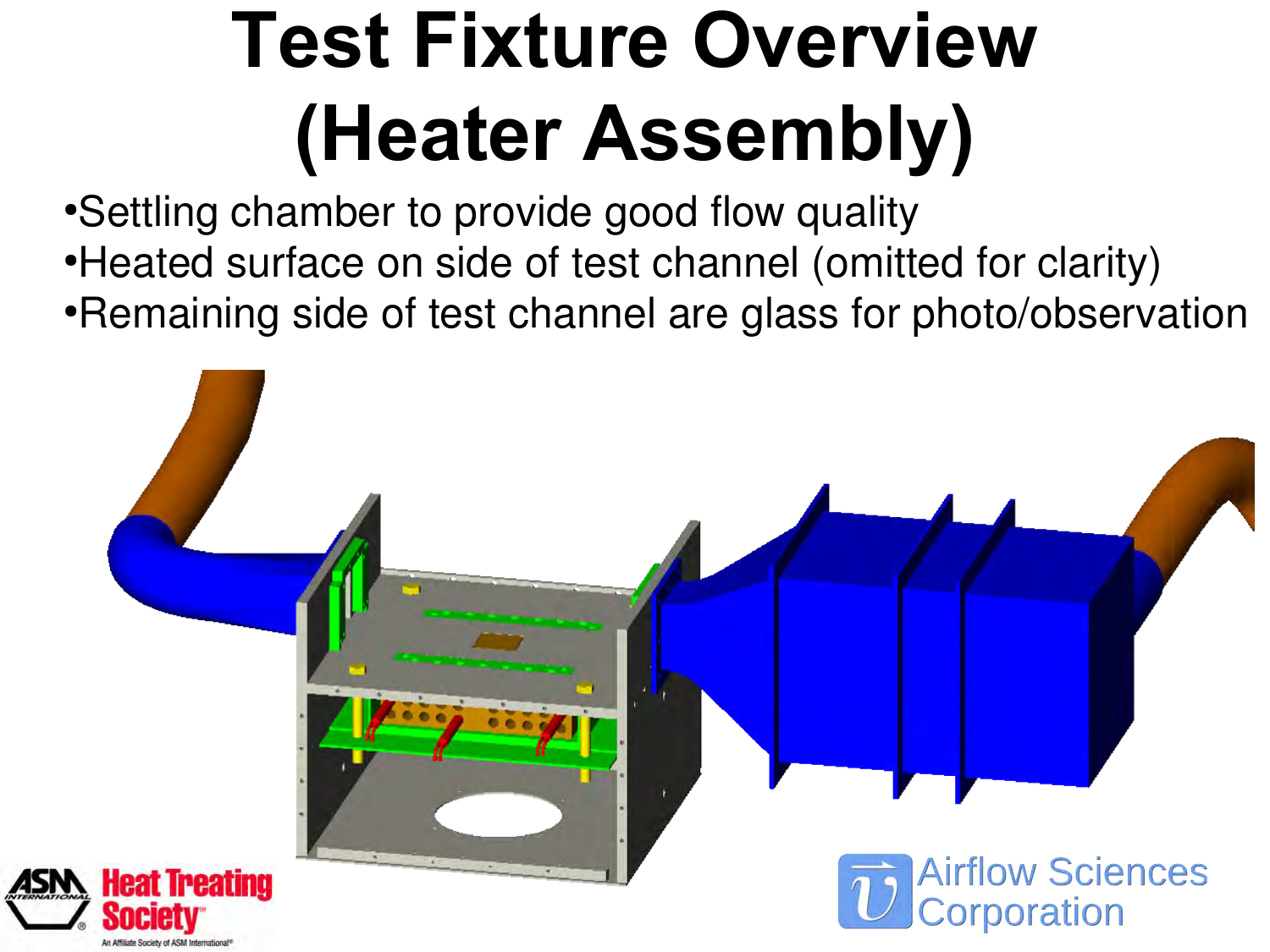# **Test Fixture Overview (Heater Assembly)**

• Settling chamber to provide good flow quality

- Heated surface on side of test channel (omitted for clarity)
- Remaining side of test channel are glass for photo/observation

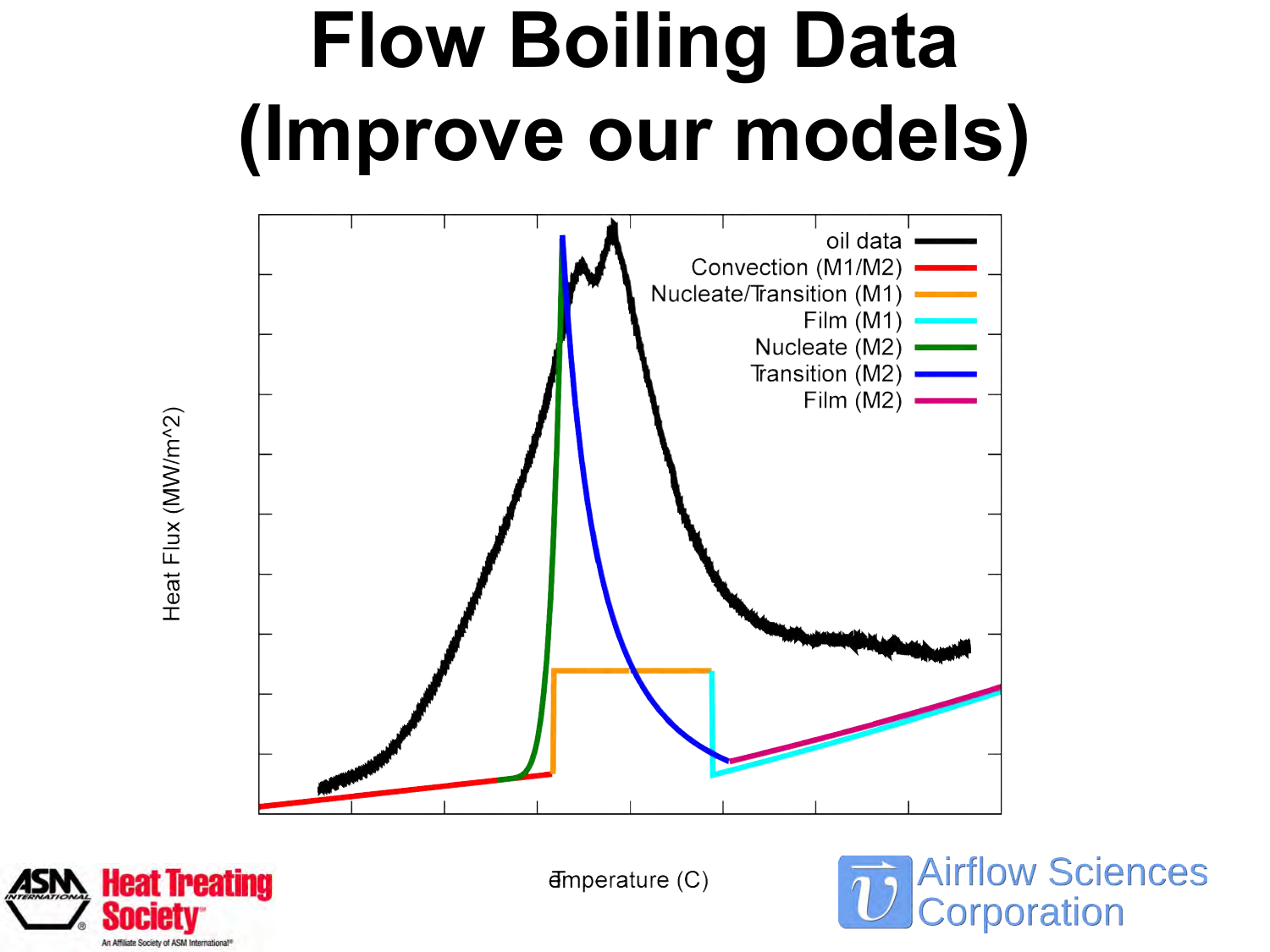## **Flow Boiling Data (Improve our models)**



Heat Flux (MW/m^2)



 $H$ mperature  $(C)$ 

**Airflow Sciences** Corporation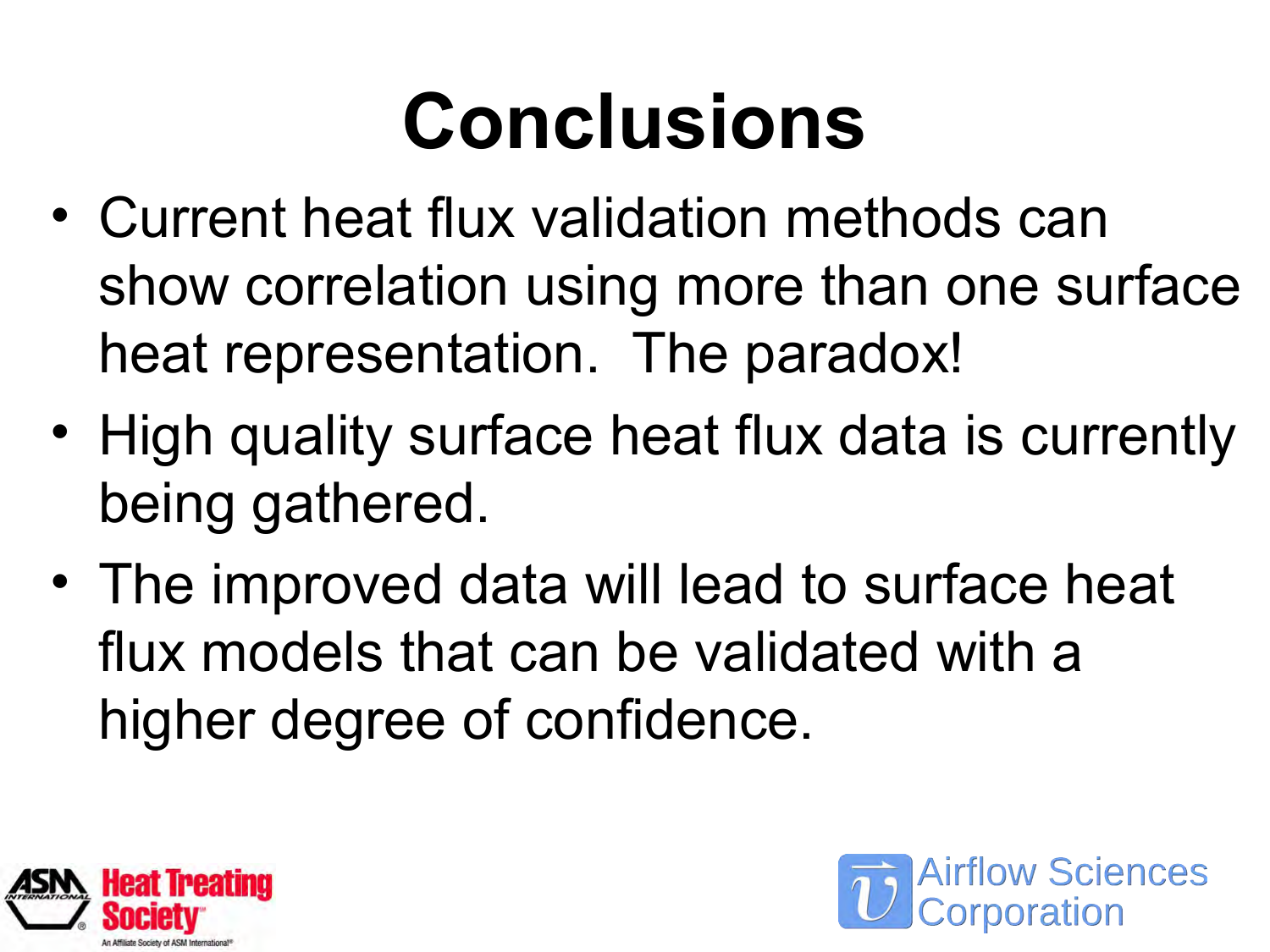# **Conclusions**

- Current heat flux validation methods can show correlation using more than one surface heat representation. The paradox!
- High quality surface heat flux data is currently being gathered.
- The improved data will lead to surface heat flux models that can be validated with a higher degree of confidence.